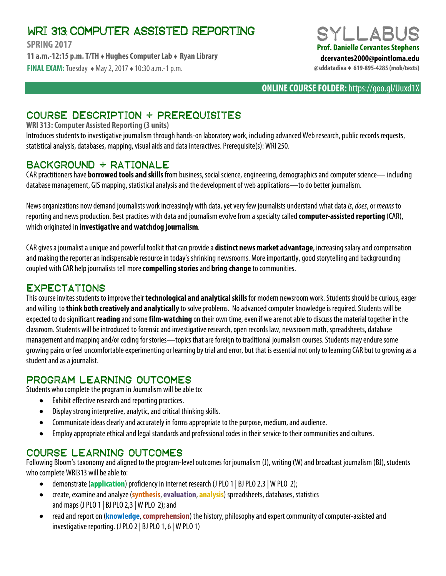# WRI 313: COMPUTER ASSISTED REPORTING

**SPRING 2017 11 a.m.-12:15 p.m. T/TH ♦ Hughes Computer Lab ♦ Ryan Library FINAL EXAM:**Tuesday ♦ May 2, 2017 ♦ 10:30 a.m.-1p.m.



**ONLINE COURSE FOLDER:** https://goo.gl/Uuxd1X

# COURSE DESCRIPTION + PREREQUISITES

### **WRI 313: Computer Assisted Reporting (3 units)**

Introduces students to investigative journalism through hands-on laboratory work, including advanced Web research, public records requests, statistical analysis, databases, mapping, visual aids and data interactives.Prerequisite(s): WRI 250.

## Background + rationale

CAR practitioners have **borrowed tools and skills**from business, social science, engineering, demographics and computer science—including database management, GIS mapping, statistical analysis and the development of web applications—to do better journalism.

News organizations now demand journalists work increasingly with data, yet very few journalists understand what data *is*, *does*,or *means* to reporting and news production. Best practices with data and journalism evolve from a specialty called **computer-assisted reporting** (CAR), which originated in **investigative and watchdog journalism**.

CAR gives a journalist a unique and powerful toolkit that can provide a **distinct news market advantage**, increasing salary and compensation and making the reporter an indispensableresource in today's shrinking newsrooms. More importantly, good storytelling and backgrounding coupled with CAR help journalists tell more **compelling stories** and **bring change** to communities.

## **EXPECTATIONS**

This course invites students to improve their **technological and analytical skills** for modern newsroom work. Students should be curious, eager and willing to **think both creatively and analytically** to solve problems. No advanced computer knowledge is required. Students will be expected to do significant **reading** and some **film-watching** on their own time, even if we are not able to discuss the material together in the classroom. Students will be introduced to forensic and investigative research, open records law, newsroom math, spreadsheets, database management and mapping and/or coding for stories—topics that are foreign to traditional journalism courses. Students may endure some growing pains or feel uncomfortable experimenting or learning by trial and error, but that is essential not only to learning CAR but to growing as a student and as a journalist.

## PROGRAM LEARNING OUTCOMES

Students who complete the program in Journalism will be able to:

- Exhibit effective research and reporting practices.
- Display strong interpretive, analytic, and critical thinking skills.
- Communicate ideas clearly and accurately in forms appropriate to the purpose, medium, and audience.
- Employ appropriate ethical and legal standards and professional codes in their service to their communities and cultures.

## Course LEARNING outcomes

Following Bloom's taxonomyand aligned to the program-level outcomes for journalism (J), writing (W)and broadcast journalism (BJ), students who complete WRI313 will be able to:

- demonstrate (**application**) proficiency in internet research (J PLO 1 | BJ PLO 2,3 | W PLO 2);
- create, examine and analyze (**synthesis**, **evaluation**, **analysis**) spreadsheets, databases, statistics and maps (J PLO 1 | BJ PLO 2,3| W PLO 2); and
- read and report on (**knowledge**, **comprehension**) the history, philosophy and expert community of computer-assisted and investigative reporting. (J PLO 2| BJ PLO 1, 6| W PLO 1)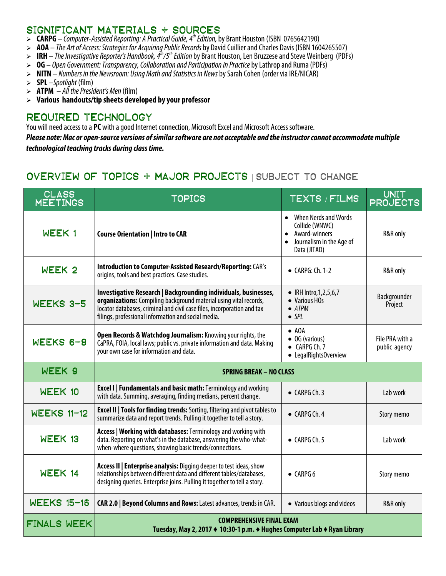### SIGNIFICANT MATERIALS + SOURCES

- **CARPG** *Computer-Assisted Reporting: A Practical Guide, 4 th Edition,* by Brant Houston (ISBN 0765642190)
- **AOA** *The Art of Access: Strategies for Acquiring Public Records*by David Cuillier and Charles Davis (ISBN 1604265507)
- **IRH** *The Investigative Reporter's Handbook, 4th/5th Edition* by Brant Houston, Len Bruzzese and Steve Weinberg (PDFs)
- **OG** *Open Government: Transparency, Collaboration and Participation in Practice*by Lathrop and Ruma (PDFs)
- **NITN** *Numbers in the Newsroom: Using Math and Statistics in News*by Sarah Cohen (order via IRE/NICAR)
- **SPL** –*Spotlight* (film)
- $\triangleright$  **ATPM**  $-A/I$  the President's Men (film)
- **Various handouts/tip sheets developed by your professor**

## Required technology

You will need access to a **PC** with a good Internet connection, Microsoft Excel and Microsoft Access software.

*Please note: Mac or open-source versions of similar software are not acceptable and the instructor cannot accommodate multiple technological teaching tracks during class time.*

# Overview of topics + major projects | SUBJECT TO CHANGE

| <b>CLASS</b><br><b>MEETINGS</b> | <b>TOPICS</b>                                                                                                                                                                                                                                                          | <b>TEXTS / FILMS</b>                                                                                               | <b>UNIT</b><br><b>PROJECTS</b>   |  |  |  |  |  |
|---------------------------------|------------------------------------------------------------------------------------------------------------------------------------------------------------------------------------------------------------------------------------------------------------------------|--------------------------------------------------------------------------------------------------------------------|----------------------------------|--|--|--|--|--|
| WEEK 1                          | <b>Course Orientation   Intro to CAR</b>                                                                                                                                                                                                                               | • When Nerds and Words<br>Collide (WNWC)<br>Award-winners<br>Journalism in the Age of<br>$\bullet$<br>Data (JITAD) | R&R only                         |  |  |  |  |  |
| WEEK <sub>2</sub>               | Introduction to Computer-Assisted Research/Reporting: CAR's<br>origins, tools and best practices. Case studies.                                                                                                                                                        | $\bullet$ CARPG: Ch. 1-2                                                                                           | R&R only                         |  |  |  |  |  |
| WEEKS 3-5                       | Investigative Research   Backgrounding individuals, businesses,<br>organizations: Compiling background material using vital records,<br>locator databases, criminal and civil case files, incorporation and tax<br>filings, professional information and social media. | • IRH Intro, 1, 2, 5, 6, 7<br>• Various HOs<br>$\bullet$ ATPM<br>$\bullet$ SPL                                     | Backgrounder<br>Project          |  |  |  |  |  |
| WEEKS 6-8                       | Open Records & Watchdog Journalism: Knowing your rights, the<br>CaPRA, FOIA, local laws; public vs. private information and data. Making<br>your own case for information and data.                                                                                    | $\bullet$ AOA<br>$\bullet$ OG (various)<br>$\bullet$ CARPG Ch. 7<br>• LegalRightsOverview                          | File PRA with a<br>public agency |  |  |  |  |  |
| WEEK 9                          | <b>SPRING BREAK - NO CLASS</b>                                                                                                                                                                                                                                         |                                                                                                                    |                                  |  |  |  |  |  |
| WEEK 10                         | <b>Excel I   Fundamentals and basic math: Terminology and working</b><br>with data. Summing, averaging, finding medians, percent change.                                                                                                                               | $\bullet$ CARPG Ch. 3                                                                                              | Lab work                         |  |  |  |  |  |
| <b>WEEKS 11-12</b>              | <b>Excel II   Tools for finding trends:</b> Sorting, filtering and pivot tables to<br>summarize data and report trends. Pulling it together to tell a story.                                                                                                           | $\bullet$ CARPG Ch. 4                                                                                              | Story memo                       |  |  |  |  |  |
| WEEK 13                         | Access   Working with databases: Terminology and working with<br>data. Reporting on what's in the database, answering the who-what-<br>when-where questions, showing basic trends/connections.                                                                         | $\bullet$ CARPG Ch. 5                                                                                              | Lab work                         |  |  |  |  |  |
| WEEK 14                         | Access II   Enterprise analysis: Digging deeper to test ideas, show<br>relationships between different data and different tables/databases,<br>designing queries. Enterprise joins. Pulling it together to tell a story.                                               | $\bullet$ CARPG 6                                                                                                  | Story memo                       |  |  |  |  |  |
| WEEKS 15-16                     | CAR 2.0   Beyond Columns and Rows: Latest advances, trends in CAR.                                                                                                                                                                                                     | • Various blogs and videos                                                                                         | R&R only                         |  |  |  |  |  |
| FINALS WEEK                     | <b>COMPREHENSIVE FINAL EXAM</b><br>Tuesday, May 2, 2017 ♦ 10:30-1 p.m. ♦ Hughes Computer Lab ♦ Ryan Library                                                                                                                                                            |                                                                                                                    |                                  |  |  |  |  |  |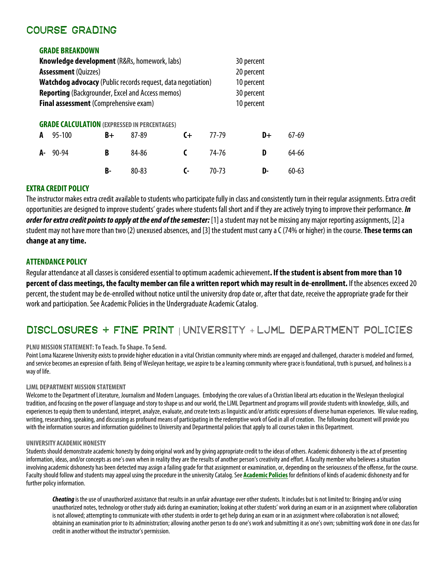## Course grading

**GRADE BREAKDOWN**

|                                                                     | <b>GRADE BREAKDOWN</b>                              |    |           |       |                                        |            |  |           |
|---------------------------------------------------------------------|-----------------------------------------------------|----|-----------|-------|----------------------------------------|------------|--|-----------|
| <b>Knowledge development</b> (R&Rs, homework, labs)                 |                                                     |    |           |       |                                        | 30 percent |  |           |
| <b>Assessment</b> (Quizzes)                                         |                                                     |    |           |       | 20 percent<br>10 percent<br>30 percent |            |  |           |
| <b>Watchdog advocacy</b> (Public records request, data negotiation) |                                                     |    |           |       |                                        |            |  |           |
| <b>Reporting</b> (Backgrounder, Excel and Access memos)             |                                                     |    |           |       |                                        |            |  |           |
| Final assessment (Comprehensive exam)                               |                                                     |    |           |       | 10 percent                             |            |  |           |
|                                                                     | <b>GRADE CALCULATION (EXPRESSED IN PERCENTAGES)</b> |    |           |       |                                        |            |  |           |
| A                                                                   | 95-100                                              | B+ | 87-89     | $C +$ | 77-79                                  | D+         |  | $67-69$   |
| А-                                                                  | 90-94                                               | B  | 84-86     | C     | 74-76                                  | D          |  | 64-66     |
|                                                                     |                                                     | B- | $80 - 83$ | C-    | $70 - 73$                              | D-         |  | $60 - 63$ |

### **EXTRA CREDIT POLICY**

The instructor makes extra credit available to students who participate fully in class and consistently turn in their regular assignments. Extra credit opportunities are designed to improve students' grades where students fall short and if they are actively trying to improve their performance. *In order for extra credit points to apply at the end of the semester:* [1] a student may not be missing any major reporting assignments, [2] a student may not have more than two (2) unexused absences, and [3] the student must carry a C(74% or higher) in the course. **These terms can change at any time.**

### **ATTENDANCE POLICY**

Regular attendance at all classes is considered essential to optimum academic achievement**. If the student is absent from more than 10 percent of class meetings, the faculty member can file a written report which may result in de-enrollment.** If the absences exceed 20 percent, the student may be de-enrolled without notice until the university drop date or, after that date, receive the appropriate grade for their work and participation. See Academic Policies in the Undergraduate Academic Catalog.

# Disclosures + fine print | UNIVERSITY + LJML DEPARTMENT POLICIES

### **PLNU MISSION STATEMENT: To Teach. To Shape. To Send.**

Point Loma Nazarene University exists to provide higher education in a vital Christian community where minds are engaged and challenged, character is modeled and formed, and service becomes an expression of faith. Being of Wesleyan heritage, we aspire to be a learning community where grace is foundational, truth is pursued, and holiness is a way of life.

### **LJML DEPARTMENT MISSION STATEMENT**

Welcome to the Department of Literature, Journalism and Modern Languages. Embodying the core values of a Christian liberal arts education in the Wesleyan theological tradition, and focusing on the power of language and story to shape us and our world, the LJML Department and programs will provide students with knowledge, skills, and experiences to equip them to understand, interpret, analyze, evaluate, and create texts as linguistic and/or artistic expressions of diverse human experiences. We value reading, writing, researching, speaking, and discussing as profound means of participating in the redemptive work of God in all of creation. The following document will provide you with the information sources and information guidelines to Universityand Departmental policies that apply to all courses taken in this Department.

### **UNIVERSITY ACADEMIC HONESTY**

Students should demonstrate academic honesty by doing original work and by giving appropriate credit to the ideas of others. Academic dishonesty is the act of presenting information, ideas, and/or concepts as one's own when in reality they are the results of another person's creativity and effort. A faculty member who believes a situation involving academic dishonesty has been detected may assign a failing grade for that assignment or examination, or, depending on the seriousness of the offense, for the course. Faculty should follow and students may appeal using the procedure in the university Catalog. See **[Academic Policies](http://catalog.pointloma.edu/content.php?catoid=18&navoid=1278)**for definitions of kinds of academic dishonesty and for further policy information.

**Cheating** is the use of unauthorized assistance that results in an unfair advantage over other students. It includes but is not limited to: Bringing and/or using unauthorized notes, technology or other study aids during an examination; looking at other students' work during an exam or in an assignment where collaboration is not allowed; attempting to communicate with other students in order to get help during an exam or in an assignment where collaboration is not allowed; obtaining an examination prior to its administration; allowing another person to do one's work and submitting it as one's own; submitting work done in one class for credit in another without the instructor's permission.